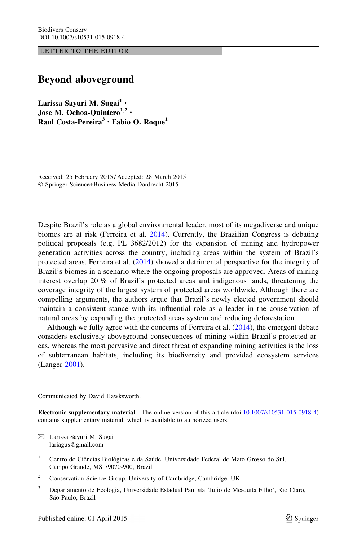LETTER TO THE EDITOR

## Beyond aboveground

Larissa Sayuri M. Sugai<sup>1</sup> · Jose M. Ochoa-Quintero<sup>1,2</sup> · Raul Costa-Pereira<sup>3</sup> · Fabio O. Roque<sup>1</sup>

Received: 25 February 2015 / Accepted: 28 March 2015 ! Springer Science+Business Media Dordrecht 2015

Despite Brazil's role as a global environmental leader, most of its megadiverse and unique biomes are at risk (Ferreira et al. [2014](#page-3-0)). Currently, the Brazilian Congress is debating political proposals (e.g. PL 3682/2012) for the expansion of mining and hydropower generation activities across the country, including areas within the system of Brazil's protected areas. Ferreira et al. ([2014\)](#page-3-0) showed a detrimental perspective for the integrity of Brazil's biomes in a scenario where the ongoing proposals are approved. Areas of mining interest overlap 20 % of Brazil's protected areas and indigenous lands, threatening the coverage integrity of the largest system of protected areas worldwide. Although there are compelling arguments, the authors argue that Brazil's newly elected government should maintain a consistent stance with its influential role as a leader in the conservation of natural areas by expanding the protected areas system and reducing deforestation.

Although we fully agree with the concerns of Ferreira et al. [\(2014](#page-3-0)), the emergent debate considers exclusively aboveground consequences of mining within Brazil's protected areas, whereas the most pervasive and direct threat of expanding mining activities is the loss of subterranean habitats, including its biodiversity and provided ecosystem services (Langer [2001\)](#page-3-0).

Communicated by David Hawksworth.

 $\boxtimes$  Larissa Sayuri M. Sugai lariagus@gmail.com

Electronic supplementary material The online version of this article (doi[:10.1007/s10531-015-0918-4\)](http://dx.doi.org/10.1007/s10531-015-0918-4) contains supplementary material, which is available to authorized users.

<sup>&</sup>lt;sup>1</sup> Centro de Ciências Biológicas e da Saúde, Universidade Federal de Mato Grosso do Sul, Campo Grande, MS 79070-900, Brazil

<sup>&</sup>lt;sup>2</sup> Conservation Science Group, University of Cambridge, Cambridge, UK

<sup>3</sup> Departamento de Ecologia, Universidade Estadual Paulista 'Julio de Mesquita Filho', Rio Claro, São Paulo, Brazil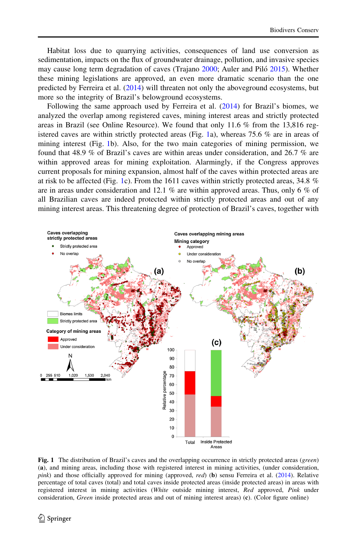<span id="page-1-0"></span>Habitat loss due to quarrying activities, consequences of land use conversion as sedimentation, impacts on the flux of groundwater drainage, pollution, and invasive species may cause long term degradation of caves (Trajano [2000;](#page-3-0) Auler and Piló [2015](#page-3-0)). Whether these mining legislations are approved, an even more dramatic scenario than the one predicted by Ferreira et al. ([2014\)](#page-3-0) will threaten not only the aboveground ecosystems, but more so the integrity of Brazil's belowground ecosystems.

Following the same approach used by Ferreira et al. [\(2014](#page-3-0)) for Brazil's biomes, we analyzed the overlap among registered caves, mining interest areas and strictly protected areas in Brazil (see Online Resource). We found that only 11.6 % from the 13,816 registered caves are within strictly protected areas (Fig. 1a), whereas 75.6  $\%$  are in areas of mining interest (Fig. 1b). Also, for the two main categories of mining permission, we found that 48.9 % of Brazil's caves are within areas under consideration, and 26.7 % are within approved areas for mining exploitation. Alarmingly, if the Congress approves current proposals for mining expansion, almost half of the caves within protected areas are at risk to be affected (Fig. 1c). From the 1611 caves within strictly protected areas, 34.8  $%$ are in areas under consideration and 12.1 % are within approved areas. Thus, only 6 % of all Brazilian caves are indeed protected within strictly protected areas and out of any mining interest areas. This threatening degree of protection of Brazil's caves, together with



Fig. 1 The distribution of Brazil's caves and the overlapping occurrence in strictly protected areas (green) (a), and mining areas, including those with registered interest in mining activities, (under consideration, pink) and those officially approved for mining (approved, red) (b) sensu Ferreira et al. [\(2014](#page-3-0)). Relative percentage of total caves (total) and total caves inside protected areas (inside protected areas) in areas with registered interest in mining activities (White outside mining interest, Red approved, Pink under consideration, Green inside protected areas and out of mining interest areas) (c). (Color figure online)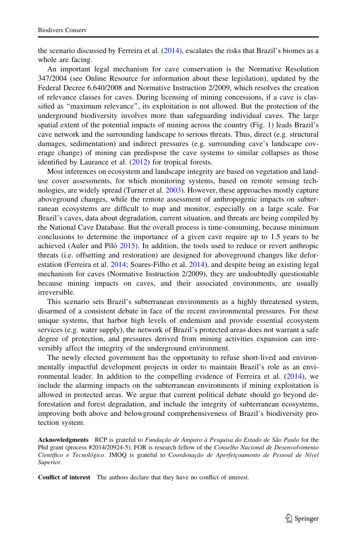the scenario discussed by Ferreira et al.  $(2014)$  $(2014)$ , escalates the risks that Brazil's biomes as a whole are facing.

An important legal mechanism for cave conservation is the Normative Resolution 347/2004 (see Online Resource for information about these legislation), updated by the Federal Decree 6.640/2008 and Normative Instruction 2/2009, which resolves the creation of relevance classes for caves. During licensing of mining concessions, if a cave is classified as ''maximum relevance'', its exploitation is not allowed. But the protection of the underground biodiversity involves more than safeguarding individual caves. The large spatial extent of the potential impacts of mining across the country (Fig. [1](#page-1-0)) leads Brazil's cave network and the surrounding landscape to serious threats. Thus, direct (e.g. structural damages, sedimentation) and indirect pressures (e.g. surrounding cave's landscape coverage change) of mining can predispose the cave systems to similar collapses as those identified by Laurance et al. ([2012](#page-3-0)) for tropical forests.

Most inferences on ecosystem and landscape integrity are based on vegetation and landuse cover assessments, for which monitoring systems, based on remote sensing technologies, are widely spread (Turner et al. [2003\)](#page-3-0). However, these approaches mostly capture aboveground changes, while the remote assessment of anthropogenic impacts on subterranean ecosystems are difficult to map and monitor, especially on a large scale. For Brazil's caves, data about degradation, current situation, and threats are being compiled by the National Cave Database. But the overall process is time-consuming, because minimum conclusions to determine the importance of a given cave require up to 1.5 years to be achieved (Auler and Piló  $2015$ ). In addition, the tools used to reduce or revert anthropic threats (i.e. offsetting and restoration) are designed for aboveground changes like defor-estation (Ferreira et al. [2014](#page-3-0); Soares-Filho et al. [2014\)](#page-3-0), and despite being an existing legal mechanism for caves (Normative Instruction 2/2009), they are undoubtedly questionable because mining impacts on caves, and their associated environments, are usually irreversible.

This scenario sets Brazil's subterranean environments as a highly threatened system, disarmed of a consistent debate in face of the recent environmental pressures. For these unique systems, that harbor high levels of endemism and provide essential ecosystem services (e.g. water supply), the network of Brazil's protected areas does not warrant a safe degree of protection, and pressures derived from mining activities expansion can irreversibly affect the integrity of the underground environment.

The newly elected government has the opportunity to refuse short-lived and environmentally impactful development projects in order to maintain Brazil's role as an environmental leader. In addition to the compelling evidence of Ferreira et al. ([2014\)](#page-3-0), we include the alarming impacts on the subterranean environments if mining exploitation is allowed in protected areas. We argue that current political debate should go beyond deforestation and forest degradation, and include the integrity of subterranean ecosystems, improving both above and belowground comprehensiveness of Brazil's biodiversity protection system.

Acknowledgments RCP is grateful to Fundação de Amparo à Pesquisa do Estado de São Paulo for the Phd grant (process #2014/20924-5). FOR is research fellow of the Conselho Nacional de Desenvolvimento Científico e Tecnológico. JMOQ is grateful to Coordenação de Aperfeiçoamento de Pessoal de Nível Superior.

Conflict of interest The authors declare that they have no conflict of interest.